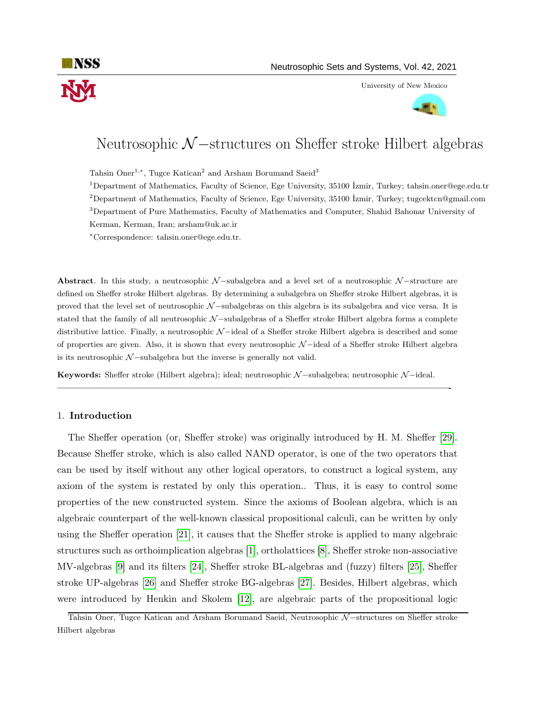

University of New Mexico



# Neutrosophic N—structures on Sheffer stroke Hilbert algebras

Tahsin Oner<sup>1,\*</sup>, Tugce Katican<sup>2</sup> and Arsham Borumand Saeid<sup>3</sup>

<sup>1</sup>Department of Mathematics, Faculty of Science, Ege University, 35100 ˙Izmir, Turkey; tahsin.oner@ege.edu.tr <sup>2</sup>Department of Mathematics, Faculty of Science, Ege University, 35100  $\overline{\text{zmir}}$ , Turkey; tugcektcn@gmail.com <sup>3</sup>Department of Pure Mathematics, Faculty of Mathematics and Computer, Shahid Bahonar University of Kerman, Kerman, Iran; arsham@uk.ac.ir

<sup>∗</sup>Correspondence: tahsin.oner@ege.edu.tr.

Abstract. In this study, a neutrosophic  $N-$ subalgebra and a level set of a neutrosophic  $N-$ structure are defined on Sheffer stroke Hilbert algebras. By determining a subalgebra on Sheffer stroke Hilbert algebras, it is proved that the level set of neutrosophic N-subalgebras on this algebra is its subalgebra and vice versa. It is stated that the family of all neutrosophic N-subalgebras of a Sheffer stroke Hilbert algebra forms a complete distributive lattice. Finally, a neutrosophic N −ideal of a Sheffer stroke Hilbert algebra is described and some of properties are given. Also, it is shown that every neutrosophic N −ideal of a Sheffer stroke Hilbert algebra is its neutrosophic  $\mathcal{N}-subalgebra$  but the inverse is generally not valid.

Keywords: Sheffer stroke (Hilbert algebra); ideal; neutrosophic N-subalgebra; neutrosophic N-ideal.

—————————————————————————————————————————-

# 1. Introduction

The Sheffer operation (or, Sheffer stroke) was originally introduced by H. M. Sheffer [\[29\]](#page-16-0). Because Sheffer stroke, which is also called NAND operator, is one of the two operators that can be used by itself without any other logical operators, to construct a logical system, any axiom of the system is restated by only this operation.. Thus, it is easy to control some properties of the new constructed system. Since the axioms of Boolean algebra, which is an algebraic counterpart of the well-known classical propositional calculi, can be written by only using the Sheffer operation [\[21\]](#page-16-1), it causes that the Sheffer stroke is applied to many algebraic structures such as orthoimplication algebras [\[1\]](#page-15-0), ortholattices [\[8\]](#page-16-2), Sheffer stroke non-associative MV-algebras [\[9\]](#page-16-3) and its filters [\[24\]](#page-16-4), Sheffer stroke BL-algebras and (fuzzy) filters [\[25\]](#page-16-5), Sheffer stroke UP-algebras [\[26\]](#page-16-6) and Sheffer stroke BG-algebras [\[27\]](#page-16-7). Besides, Hilbert algebras, which were introduced by Henkin and Skolem [\[12\]](#page-16-8), are algebraic parts of the propositional logic

Tahsin Oner, Tugce Katican and Arsham Borumand Saeid, Neutrosophic N-structures on Sheffer stroke Hilbert algebras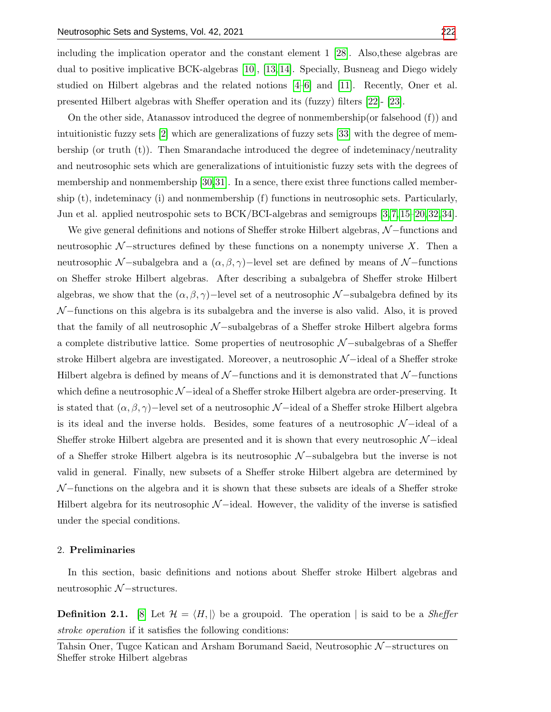including the implication operator and the constant element 1 [\[28\]](#page-16-9). Also,these algebras are dual to positive implicative BCK-algebras [\[10\]](#page-16-10), [\[13,](#page-16-11) [14\]](#page-16-12). Specially, Busneag and Diego widely studied on Hilbert algebras and the related notions [\[4–](#page-15-1)[6\]](#page-16-13) and [\[11\]](#page-16-14). Recently, Oner et al. presented Hilbert algebras with Sheffer operation and its (fuzzy) filters [\[22\]](#page-16-15)- [\[23\]](#page-16-16).

On the other side, Atanassov introduced the degree of nonmembership(or falsehood (f)) and intuitionistic fuzzy sets [\[2\]](#page-15-2) which are generalizations of fuzzy sets [\[33\]](#page-17-1) with the degree of membership (or truth (t)). Then Smarandache introduced the degree of indeteminacy/neutrality and neutrosophic sets which are generalizations of intuitionistic fuzzy sets with the degrees of membership and nonmembership [\[30,](#page-17-2)[31\]](#page-17-3). In a sence, there exist three functions called membership (t), indeteminacy (i) and nonmembership (f) functions in neutrosophic sets. Particularly, Jun et al. applied neutrospohic sets to BCK/BCI-algebras and semigroups [\[3,](#page-15-3) [7,](#page-16-17) [15–](#page-16-18)[20,](#page-16-19) [32,](#page-17-4) [34\]](#page-17-5).

We give general definitions and notions of Sheffer stroke Hilbert algebras,  $\mathcal{N}-$ functions and neutrosophic  $\mathcal{N}-$ structures defined by these functions on a nonempty universe X. Then a neutrosophic N –subalgebra and a  $(\alpha, \beta, \gamma)$ –level set are defined by means of N –functions on Sheffer stroke Hilbert algebras. After describing a subalgebra of Sheffer stroke Hilbert algebras, we show that the  $(\alpha, \beta, \gamma)$ −level set of a neutrosophic N-subalgebra defined by its  $\mathcal{N}-$ functions on this algebra is its subalgebra and the inverse is also valid. Also, it is proved that the family of all neutrosophic  $\mathcal{N}-$ subalgebras of a Sheffer stroke Hilbert algebra forms a complete distributive lattice. Some properties of neutrosophic N −subalgebras of a Sheffer stroke Hilbert algebra are investigated. Moreover, a neutrosophic N-ideal of a Sheffer stroke Hilbert algebra is defined by means of  $N$  −functions and it is demonstrated that  $N$  −functions which define a neutrosophic  $\mathcal{N}-$ ideal of a Sheffer stroke Hilbert algebra are order-preserving. It is stated that  $(\alpha, \beta, \gamma)$ −level set of a neutrosophic N-ideal of a Sheffer stroke Hilbert algebra is its ideal and the inverse holds. Besides, some features of a neutrosophic  $\mathcal{N}-$ ideal of a Sheffer stroke Hilbert algebra are presented and it is shown that every neutrosophic  $\mathcal{N}-\text{ideal}$ of a Sheffer stroke Hilbert algebra is its neutrosophic N −subalgebra but the inverse is not valid in general. Finally, new subsets of a Sheffer stroke Hilbert algebra are determined by  $\mathcal{N}-$ functions on the algebra and it is shown that these subsets are ideals of a Sheffer stroke Hilbert algebra for its neutrosophic  $\mathcal{N}-$ ideal. However, the validity of the inverse is satisfied under the special conditions.

#### 2. Preliminaries

In this section, basic definitions and notions about Sheffer stroke Hilbert algebras and neutrosophic N −structures.

**Definition 2.1.** [\[8\]](#page-16-2) Let  $\mathcal{H} = \langle H, \cdot \rangle$  be a groupoid. The operation | is said to be a *Sheffer* stroke operation if it satisfies the following conditions:

Tahsin Oner, Tugce Katican and Arsham Borumand Saeid, Neutrosophic N–structures on Sheffer stroke Hilbert algebras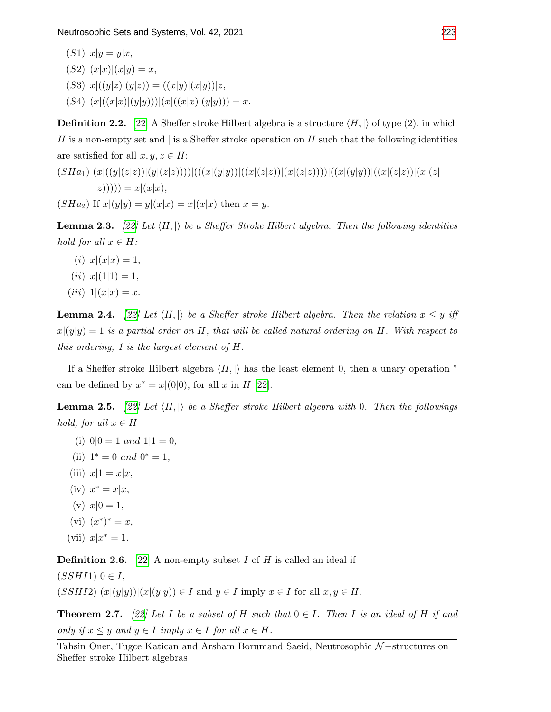- $(S1)$   $x|y = y|x,$ (S2)  $(x|x)|(x|y) = x,$
- (S3)  $x|((y|z)|(y|z)) = ((x|y)|(x|y))|z,$
- (S4)  $(x|((x|x)|(y|y)))(x|((x|x)|(y|y))) = x.$

**Definition 2.2.** [\[22\]](#page-16-15) A Sheffer stroke Hilbert algebra is a structure  $\langle H, |\rangle$  of type (2), in which H is a non-empty set and is a Sheffer stroke operation on H such that the following identities are satisfied for all  $x, y, z \in H$ :

$$
(SHa_1) (x|((y|(z|z))|(y|(z|z))))((x|(y|y))|((x|(z|z))|(x|(z|z))))((x|(y|y))|((x|(z|z))|(x|(z|z))|(x|z|z)|)
$$
  

$$
(SHa_2) \text{ If } x|(y|y) = y|(x|x) = x|(x|x) \text{ then } x = y.
$$

**Lemma 2.3.** [\[22\]](#page-16-15) Let  $\langle H, \rangle$  be a Sheffer Stroke Hilbert algebra. Then the following identities hold for all  $x \in H$ :

- (*i*)  $x|(x|x) = 1$ ,
- $(ii)$   $x|(1|1) = 1,$
- (*iii*)  $1|(x|x) = x$ .

**Lemma 2.4.** [\[22\]](#page-16-15) Let  $\langle H, \rangle$  be a Sheffer stroke Hilbert algebra. Then the relation  $x \leq y$  iff  $x|(y|y) = 1$  is a partial order on H, that will be called natural ordering on H. With respect to this ordering, 1 is the largest element of H.

If a Sheffer stroke Hilbert algebra  $\langle H, \vert \rangle$  has the least element 0, then a unary operation \* can be defined by  $x^* = x|(0|0)$ , for all x in H [\[22\]](#page-16-15).

**Lemma 2.5.** [\[22\]](#page-16-15) Let  $\langle H, \rangle$  be a Sheffer stroke Hilbert algebra with 0. Then the followings hold, for all  $x \in H$ 

- (i)  $0|0 = 1$  and  $1|1 = 0$ ,
- (ii)  $1^* = 0$  and  $0^* = 1$ ,
- (iii)  $x|1 = x|x$ ,
- (iv)  $x^* = x|x,$
- (v)  $x|0=1$ ,
- (vi)  $(x^*)^* = x$ ,
- (vii)  $x|x^* = 1$ .

**Definition 2.6.** [\[22\]](#page-16-15) A non-empty subset I of H is called an ideal if

 $(SSHI1)$   $0 \in I$ ,

 $(SSHI2)$   $(x|(y|y))|(x|(y|y)) \in I$  and  $y \in I$  imply  $x \in I$  for all  $x, y \in H$ .

**Theorem 2.7.** [\[22\]](#page-16-15) Let I be a subset of H such that  $0 \in I$ . Then I is an ideal of H if and only if  $x \leq y$  and  $y \in I$  imply  $x \in I$  for all  $x \in H$ .

Tahsin Oner, Tugce Katican and Arsham Borumand Saeid, Neutrosophic N-structures on Sheffer stroke Hilbert algebras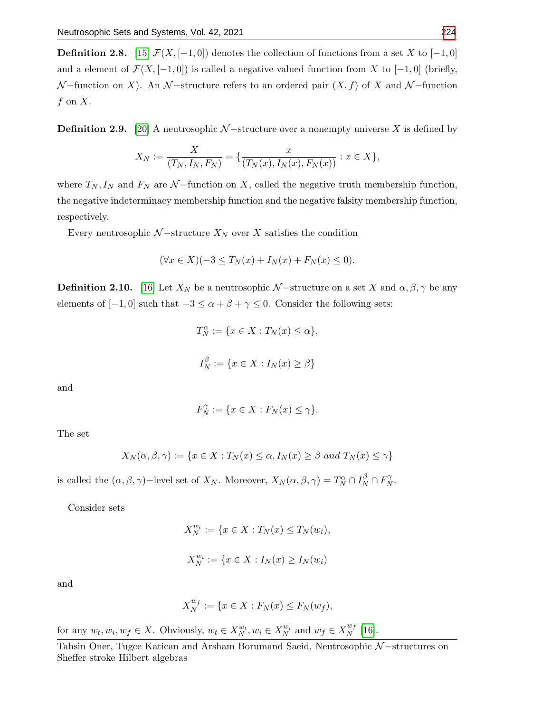**Definition 2.8.** [\[15\]](#page-16-18)  $\mathcal{F}(X, [-1, 0])$  denotes the collection of functions from a set X to [-1, 0] and a element of  $\mathcal{F}(X, [-1, 0])$  is called a negative-valued function from X to  $[-1, 0]$  (briefly,  $\mathcal{N}-$ function on X). An  $\mathcal{N}-$ structure refers to an ordered pair  $(X, f)$  of X and  $\mathcal{N}-$ function f on  $X$ .

**Definition 2.9.** [\[20\]](#page-16-19) A neutrosophic  $N$  –structure over a nonempty universe X is defined by

$$
X_N := \frac{X}{(T_N, I_N, F_N)} = \{ \frac{x}{(T_N(x), I_N(x), F_N(x))} : x \in X \},\
$$

where  $T_N, I_N$  and  $F_N$  are N −function on X, called the negative truth membership function, the negative indeterminacy membership function and the negative falsity membership function, respectively.

Every neutrosophic  $N$  –structure  $X_N$  over X satisfies the condition

$$
(\forall x \in X)(-3 \le T_N(x) + I_N(x) + F_N(x) \le 0).
$$

**Definition 2.10.** [\[16\]](#page-16-20) Let  $X_N$  be a neutrosophic N-structure on a set X and  $\alpha, \beta, \gamma$  be any elements of  $[-1, 0]$  such that  $-3 \le \alpha + \beta + \gamma \le 0$ . Consider the following sets:

$$
T_N^{\alpha} := \{ x \in X : T_N(x) \le \alpha \},
$$
  

$$
I_N^{\beta} := \{ x \in X : I_N(x) \ge \beta \}
$$

and

$$
F_N^{\gamma} := \{ x \in X : F_N(x) \le \gamma \}.
$$

The set

$$
X_N(\alpha, \beta, \gamma) := \{ x \in X : T_N(x) \le \alpha, I_N(x) \ge \beta \text{ and } T_N(x) \le \gamma \}
$$

is called the  $(\alpha, \beta, \gamma)$ -level set of  $X_N$ . Moreover,  $X_N(\alpha, \beta, \gamma) = T_N^{\alpha} \cap I_N^{\beta} \cap F_N^{\gamma}$  $_{N}^{\gamma}.$ 

Consider sets

$$
X_N^{w_t} := \{ x \in X : T_N(x) \le T_N(w_t),
$$
  

$$
X_N^{w_i} := \{ x \in X : I_N(x) \ge I_N(w_i) \}
$$

and

$$
X_N^{w_f} := \{ x \in X : F_N(x) \le F_N(w_f),
$$

for any  $w_t, w_i, w_f \in X$ . Obviously,  $w_t \in X_N^{w_t}, w_i \in X_N^{w_i}$  and  $w_f \in X_N^{w_f}$  $\frac{w_f}{N}$  [\[16\]](#page-16-20).

Tahsin Oner, Tugce Katican and Arsham Borumand Saeid, Neutrosophic  $N$ −structures on Sheffer stroke Hilbert algebras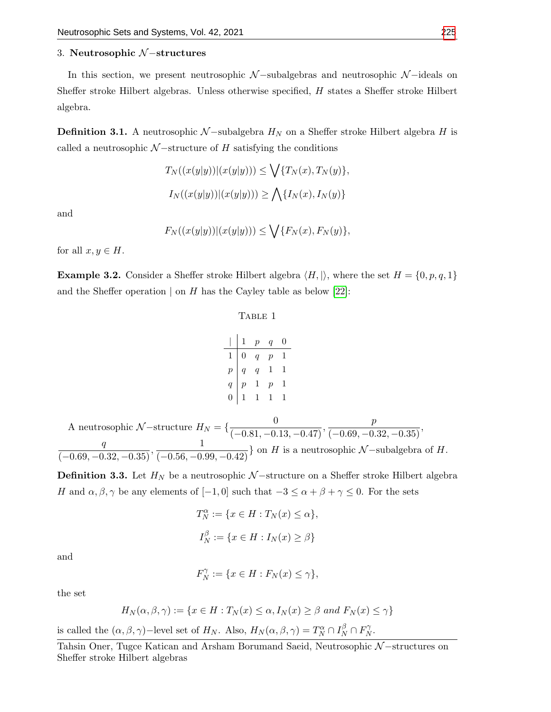# 3. Neutrosophic N −structures

In this section, we present neutrosophic  $\mathcal{N}-$ subalgebras and neutrosophic  $\mathcal{N}-$ ideals on Sheffer stroke Hilbert algebras. Unless otherwise specified, H states a Sheffer stroke Hilbert algebra.

**Definition 3.1.** A neutrosophic  $N$ -subalgebra  $H_N$  on a Sheffer stroke Hilbert algebra H is called a neutrosophic  $N$  –structure of H satisfying the conditions

$$
T_N((x(y|y))|(x(y|y))) \le \bigvee \{T_N(x), T_N(y)\},
$$
  

$$
I_N((x(y|y))|(x(y|y))) \ge \bigwedge \{I_N(x), I_N(y)\}
$$

and

$$
F_N((x(y|y))|(x(y|y))) \le \bigvee \{F_N(x), F_N(y)\},
$$

for all  $x, y \in H$ .

**Example 3.2.** Consider a Sheffer stroke Hilbert algebra  $\langle H, \rangle$ , where the set  $H = \{0, p, q, 1\}$ and the Sheffer operation  $\vert$  on H has the Cayley table as below [\[22\]](#page-16-15):

#### TABLE 1

|                                            | 1                | $\bar{p}$       | $q_{-}$        | 0 |
|--------------------------------------------|------------------|-----------------|----------------|---|
| $\mathbf 1$                                | $\boldsymbol{0}$ | $q_{\parallel}$ | $\overline{p}$ | 1 |
|                                            | $\overline{q}$   | $q_{\perp}$     | 1              | 1 |
| $\begin{array}{c} p \\ q \\ 0 \end{array}$ | $\overline{p}$   | 1               | $\overline{p}$ | 1 |
|                                            | $\mathbf 1$      | 1               |                | 1 |

A neutrosophic  $N$ -structure  $H_N = \left\{ \frac{0}{(-0.81, -0.13, -0.47)}, \frac{p}{(-0.69, -0.32, -0.35)} \right\}$  $\frac{q}{(-0.69, -0.32, -0.35)}, \frac{1}{(-0.56, -0.99, -0.42)}\}$  on H is a neutrosophic N-subalgebra of H.

**Definition 3.3.** Let  $H_N$  be a neutrosophic  $N$  –structure on a Sheffer stroke Hilbert algebra H and  $\alpha, \beta, \gamma$  be any elements of  $[-1, 0]$  such that  $-3 \leq \alpha + \beta + \gamma \leq 0$ . For the sets

$$
T_N^{\alpha} := \{ x \in H : T_N(x) \le \alpha \},
$$
  

$$
I_N^{\beta} := \{ x \in H : I_N(x) \ge \beta \}
$$

and

$$
F_N^{\gamma} := \{ x \in H : F_N(x) \le \gamma \},\
$$

the set

$$
H_N(\alpha, \beta, \gamma) := \{ x \in H : T_N(x) \le \alpha, I_N(x) \ge \beta \text{ and } F_N(x) \le \gamma \}
$$

is called the  $(\alpha, \beta, \gamma)$ -level set of  $H_N$ . Also,  $H_N(\alpha, \beta, \gamma) = T_N^{\alpha} \cap I_N^{\beta} \cap F_N^{\gamma}$  $_{N}^{\gamma}.$ 

Tahsin Oner, Tugce Katican and Arsham Borumand Saeid, Neutrosophic N−structures on Sheffer stroke Hilbert algebras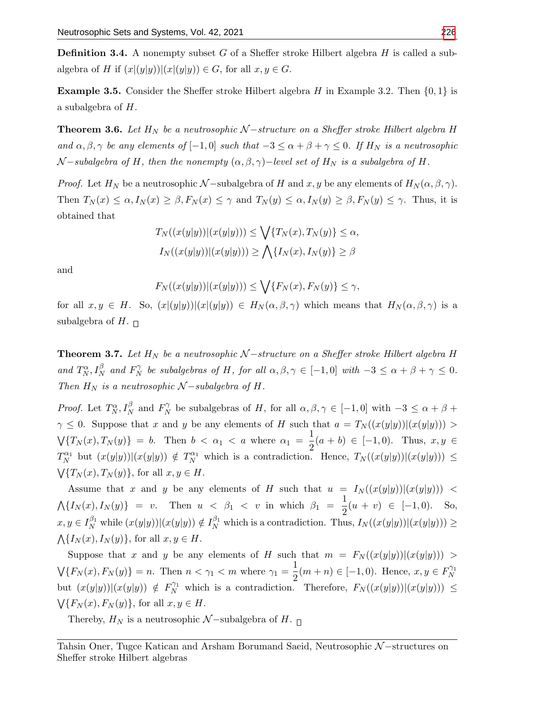**Definition 3.4.** A nonempty subset G of a Sheffer stroke Hilbert algebra  $H$  is called a subalgebra of H if  $(x|(y|y))|(x|(y|y)) \in G$ , for all  $x, y \in G$ .

**Example 3.5.** Consider the Sheffer stroke Hilbert algebra H in Example 3.2. Then  $\{0, 1\}$  is a subalgebra of H.

**Theorem 3.6.** Let  $H_N$  be a neutrosophic  $N$  –structure on a Sheffer stroke Hilbert algebra H and  $\alpha, \beta, \gamma$  be any elements of  $[-1, 0]$  such that  $-3 \le \alpha + \beta + \gamma \le 0$ . If  $H_N$  is a neutrosophic  $\mathcal{N}-subalgebra$  of H, then the nonempty  $(\alpha, \beta, \gamma)-level$  set of  $H_N$  is a subalgebra of H.

*Proof.* Let  $H_N$  be a neutrosophic  $\mathcal{N}$  –subalgebra of H and x, y be any elements of  $H_N(\alpha, \beta, \gamma)$ . Then  $T_N(x) \leq \alpha, I_N(x) \geq \beta, F_N(x) \leq \gamma$  and  $T_N(y) \leq \alpha, I_N(y) \geq \beta, F_N(y) \leq \gamma$ . Thus, it is obtained that

$$
T_N((x(y|y))|(x(y|y))) \le \bigvee \{T_N(x), T_N(y)\} \le \alpha,
$$
  

$$
I_N((x(y|y))|(x(y|y))) \ge \bigwedge \{I_N(x), I_N(y)\} \ge \beta
$$

and

$$
F_N((x(y|y))|(x(y|y))) \le \bigvee \{F_N(x), F_N(y)\} \le \gamma,
$$

for all  $x, y \in H$ . So,  $(x|(y|y))|(x|(y|y)) \in H_N(\alpha, \beta, \gamma)$  which means that  $H_N(\alpha, \beta, \gamma)$  is a subalgebra of H.  $\Box$ 

**Theorem 3.7.** Let  $H_N$  be a neutrosophic  $N$  –structure on a Sheffer stroke Hilbert algebra H and  $T_N^{\alpha}, I_N^{\beta}$  and  $F_N^{\gamma}$  $N_N^{\gamma}$  be subalgebras of H, for all  $\alpha, \beta, \gamma \in [-1,0]$  with  $-3 \leq \alpha + \beta + \gamma \leq 0$ . Then  $H_N$  is a neutrosophic  $\mathcal{N}-subalgebra$  of  $H$ .

*Proof.* Let  $T_N^{\alpha}, I_N^{\beta}$  and  $F_N^{\gamma}$  $\gamma_N^{\gamma}$  be subalgebras of H, for all  $\alpha, \beta, \gamma \in [-1, 0]$  with  $-3 \leq \alpha + \beta +$  $\gamma \leq 0$ . Suppose that x and y be any elements of H such that  $a = T_N((x(y|y))|(x(y|y))) >$  $\sqrt{\{T_N(x), T_N(y)\}} = b$ . Then  $b < \alpha_1 < a$  where  $\alpha_1 = \frac{1}{2}$  $\frac{1}{2}(a + b) \in [-1, 0)$ . Thus,  $x, y \in$  $T_N^{\alpha_1}$  but  $(x(y|y))|(x(y|y)) \notin T_N^{\alpha_1}$  which is a contradiction. Hence,  $T_N((x(y|y))|(x(y|y))) \leq$  $\bigvee \{T_N(x), T_N(y)\},$  for all  $x, y \in H$ .

Assume that x and y be any elements of H such that  $u = I_N((x(y|y))|(x(y|y)))$  <  $\Lambda\{I_N(x), I_N(y)\} = v.$  Then  $u < \beta_1 < v$  in which  $\beta_1 = \frac{1}{2}$  $\frac{1}{2}(u + v) \in [-1, 0)$ . So,  $x, y \in I_N^{\beta_1}$  while  $(x(y|y))|(x(y|y)) \notin I_N^{\beta_1}$  which is a contradiction. Thus,  $I_N((x(y|y))|(x(y|y))) \ge$  $\bigwedge \{I_N(x), I_N(y)\},$  for all  $x, y \in H$ .

Suppose that x and y be any elements of H such that  $m = F_N((x(y|y))|(x(y|y)))$  $\mathcal{N}\lbrace F_N(x), F_N(y) \rbrace = n.$  Then  $n < \gamma_1 < m$  where  $\gamma_1 = \frac{1}{2}$  $\frac{1}{2}(m+n) \in [-1,0)$ . Hence,  $x, y \in F_N^{\gamma_1}$ N but  $(x(y|y))|(x(y|y)) \notin F_N^{\gamma_1}$  which is a contradiction. Therefore,  $F_N((x(y|y))|(x(y|y))) \leq$  $\bigvee \{F_N(x), F_N(y)\},$  for all  $x, y \in H$ .

Thereby,  $H_N$  is a neutrosophic  $\mathcal{N}-subalgebra$  of  $H$ .  $\Box$ 

Tahsin Oner, Tugce Katican and Arsham Borumand Saeid, Neutrosophic N-structures on Sheffer stroke Hilbert algebras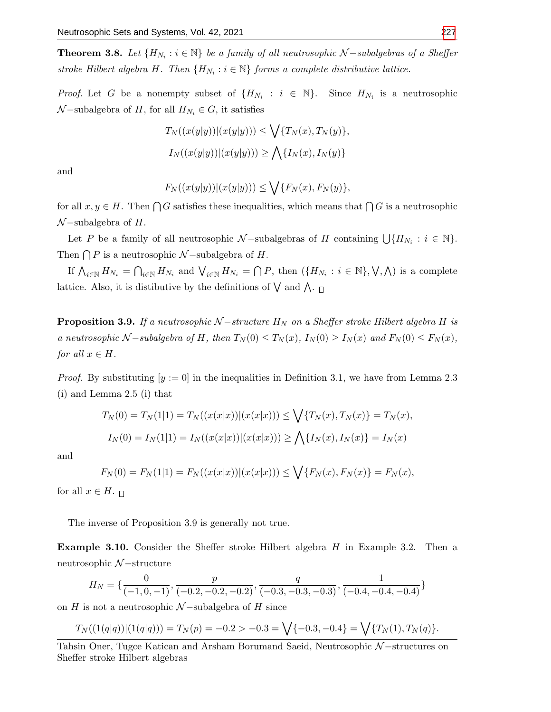**Theorem 3.8.** Let  $\{H_{N_i} : i \in \mathbb{N}\}\$  be a family of all neutrosophic  $\mathcal{N}-subalgebras$  of a Sheffer stroke Hilbert algebra H. Then  $\{H_{N_i} : i \in \mathbb{N}\}$  forms a complete distributive lattice.

*Proof.* Let G be a nonempty subset of  $\{H_{N_i} : i \in \mathbb{N}\}\$ . Since  $H_{N_i}$  is a neutrosophic  $\mathcal{N}-subalgebra$  of H, for all  $H_{N_i} \in G$ , it satisfies

$$
T_N((x(y|y))|(x(y|y))) \le \bigvee \{T_N(x), T_N(y)\},
$$
  

$$
I_N((x(y|y))|(x(y|y))) \ge \bigwedge \{I_N(x), I_N(y)\}
$$

and

$$
F_N((x(y|y))|(x(y|y))) \le \bigvee \{F_N(x), F_N(y)\},
$$

for all  $x, y \in H$ . Then  $\bigcap G$  satisfies these inequalities, which means that  $\bigcap G$  is a neutrosophic  $\mathcal{N}-subalgebra$  of  $H$ .

Let P be a family of all neutrosophic  $\mathcal{N}-\text{subalgebras of } H$  containing  $\bigcup \{H_{N_i} : i \in \mathbb{N}\}.$ Then  $\bigcap P$  is a neutrosophic  $\mathcal{N}-subalgebra$  of H.

If  $\bigwedge_{i\in\mathbb{N}} H_{N_i} = \bigcap_{i\in\mathbb{N}} H_{N_i}$  and  $\bigvee_{i\in\mathbb{N}} H_{N_i} = \bigcap P$ , then  $(\{H_{N_i} : i\in\mathbb{N}\}, \bigvee, \bigwedge)$  is a complete lattice. Also, it is distibutive by the definitions of  $\bigvee$  and  $\bigwedge$ .

**Proposition 3.9.** If a neutrosophic  $N$  –structure  $H_N$  on a Sheffer stroke Hilbert algebra H is a neutrosophic N – subalgebra of H, then  $T_N(0) \leq T_N(x)$ ,  $I_N(0) \geq I_N(x)$  and  $F_N(0) \leq F_N(x)$ , for all  $x \in H$ .

*Proof.* By substituting  $[y := 0]$  in the inequalities in Definition 3.1, we have from Lemma 2.3 (i) and Lemma 2.5 (i) that

$$
T_N(0) = T_N(1|1) = T_N((x(x|x))|(x(x|x))) \le \bigvee \{T_N(x), T_N(x)\} = T_N(x),
$$
  

$$
I_N(0) = I_N(1|1) = I_N((x(x|x))|(x(x|x))) \ge \bigwedge \{I_N(x), I_N(x)\} = I_N(x)
$$

and

$$
F_N(0) = F_N(1|1) = F_N((x(x|x))|(x(x|x))) \le \bigvee \{F_N(x), F_N(x)\} = F_N(x),
$$

for all  $x \in H$ .  $\Box$ 

The inverse of Proposition 3.9 is generally not true.

Example 3.10. Consider the Sheffer stroke Hilbert algebra H in Example 3.2. Then a neutrosophic N −structure

$$
H_N = \{ \frac{0}{(-1, 0, -1)}, \frac{p}{(-0.2, -0.2, -0.2)}, \frac{q}{(-0.3, -0.3, -0.3)}, \frac{1}{(-0.4, -0.4, -0.4)} \}
$$

on H is not a neutrosophic  $\mathcal{N}-subalgebra$  of H since

$$
T_N((1(q|q))|(1(q|q))) = T_N(p) = -0.2 > -0.3 = \sqrt{\{-0.3, -0.4\}} = \sqrt{\{T_N(1), T_N(q)\}}.
$$

Tahsin Oner, Tugce Katican and Arsham Borumand Saeid, Neutrosophic N–structures on Sheffer stroke Hilbert algebras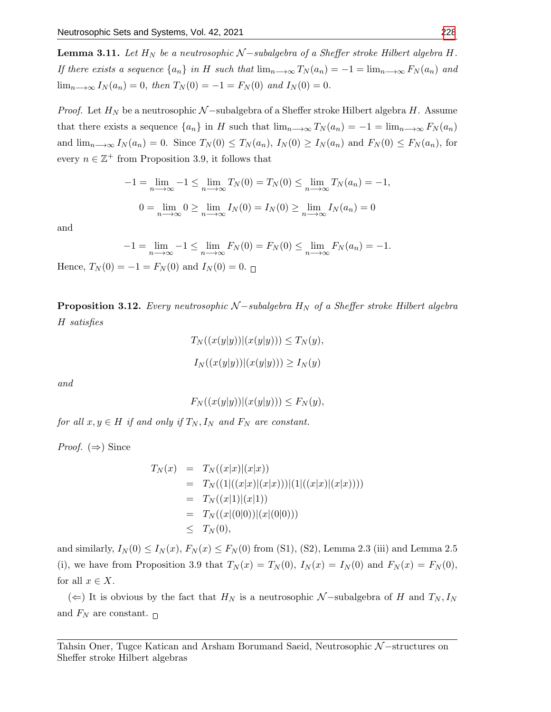**Lemma 3.11.** Let  $H_N$  be a neutrosophic  $N$  –subalgebra of a Sheffer stroke Hilbert algebra H. If there exists a sequence  $\{a_n\}$  in H such that  $\lim_{n\to\infty}T_N(a_n)=-1=\lim_{n\to\infty}F_N(a_n)$  and  $\lim_{n\to\infty} I_N(a_n) = 0$ , then  $T_N(0) = -1 = F_N(0)$  and  $I_N(0) = 0$ .

*Proof.* Let  $H_N$  be a neutrosophic N –subalgebra of a Sheffer stroke Hilbert algebra H. Assume that there exists a sequence  $\{a_n\}$  in H such that  $\lim_{n\to\infty}T_N(a_n)=-1=\lim_{n\to\infty}F_N(a_n)$ and  $\lim_{n\to\infty} I_N(a_n) = 0$ . Since  $T_N(0) \leq T_N(a_n)$ ,  $I_N(0) \geq I_N(a_n)$  and  $F_N(0) \leq F_N(a_n)$ , for every  $n \in \mathbb{Z}^+$  from Proposition 3.9, it follows that

$$
-1 = \lim_{n \to \infty} -1 \le \lim_{n \to \infty} T_N(0) = T_N(0) \le \lim_{n \to \infty} T_N(a_n) = -1,
$$
  

$$
0 = \lim_{n \to \infty} 0 \ge \lim_{n \to \infty} I_N(0) = I_N(0) \ge \lim_{n \to \infty} I_N(a_n) = 0
$$

and

$$
-1 = \lim_{n \to \infty} -1 \le \lim_{n \to \infty} F_N(0) = F_N(0) \le \lim_{n \to \infty} F_N(a_n) = -1.
$$

Hence,  $T_N(0) = -1 = F_N(0)$  and  $I_N(0) = 0$ .

**Proposition 3.12.** Every neutrosophic  $N$  –subalgebra  $H_N$  of a Sheffer stroke Hilbert algebra H satisfies

$$
T_N((x(y|y))|(x(y|y))) \le T_N(y),
$$
  

$$
I_N((x(y|y))|(x(y|y))) \ge I_N(y)
$$

and

$$
F_N((x(y|y))|(x(y|y))) \le F_N(y),
$$

for all  $x, y \in H$  if and only if  $T_N, I_N$  and  $F_N$  are constant.

*Proof.*  $(\Rightarrow)$  Since

$$
T_N(x) = T_N((x|x)|(x|x))
$$
  
=  $T_N((1|((x|x)|(x|x)))(1|((x|x)|(x|x))))$   
=  $T_N((x|1)|(x|1))$   
=  $T_N((x|(0|0))|(x|(0|0)))$   
 $\leq T_N(0),$ 

and similarly,  $I_N(0) \leq I_N(x)$ ,  $F_N(x) \leq F_N(0)$  from (S1), (S2), Lemma 2.3 (iii) and Lemma 2.5 (i), we have from Proposition 3.9 that  $T_N(x) = T_N(0)$ ,  $I_N(x) = I_N(0)$  and  $F_N(x) = F_N(0)$ , for all  $x \in X$ .

(←) It is obvious by the fact that  $H_N$  is a neutrosophic  $N$ -subalgebra of H and  $T_N, I_N$ and  $F_N$  are constant.  $\Box$ 

Tahsin Oner, Tugce Katican and Arsham Borumand Saeid, Neutrosophic N-structures on Sheffer stroke Hilbert algebras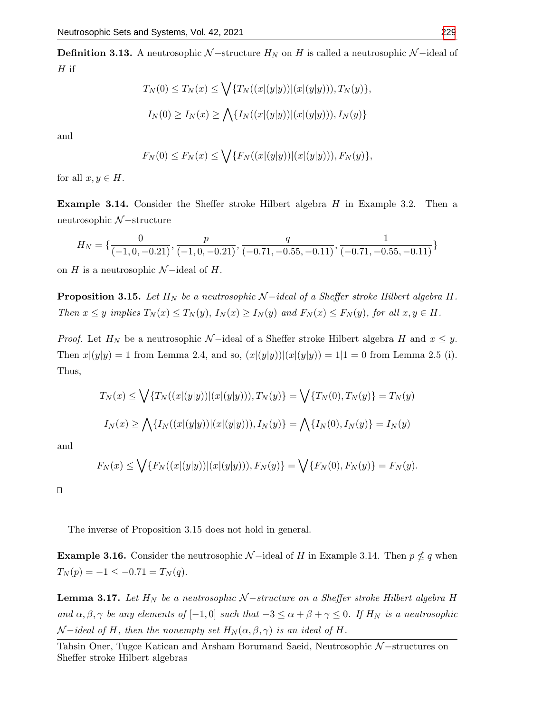**Definition 3.13.** A neutrosophic  $N$ -structure  $H_N$  on H is called a neutrosophic  $N$ -ideal of  ${\cal H}$  if

$$
T_N(0) \le T_N(x) \le \bigvee \{ T_N((x|(y|y))|(x|(y|y))), T_N(y) \},
$$
  

$$
I_N(0) \ge I_N(x) \ge \bigwedge \{ I_N((x|(y|y))|(x|(y|y))), I_N(y) \}
$$

and

$$
F_N(0) \le F_N(x) \le \bigvee \{ F_N((x|(y|y))|(x|(y|y))), F_N(y) \},\
$$

for all  $x, y \in H$ .

Example 3.14. Consider the Sheffer stroke Hilbert algebra H in Example 3.2. Then a neutrosophic N −structure

$$
H_N = \{ \frac{0}{(-1, 0, -0.21)}, \frac{p}{(-1, 0, -0.21)}, \frac{q}{(-0.71, -0.55, -0.11)}, \frac{1}{(-0.71, -0.55, -0.11)} \}
$$

on H is a neutrosophic  $\mathcal{N}-$ ideal of H.

**Proposition 3.15.** Let  $H_N$  be a neutrosophic N-ideal of a Sheffer stroke Hilbert algebra H. Then  $x \leq y$  implies  $T_N(x) \leq T_N(y)$ ,  $I_N(x) \geq I_N(y)$  and  $F_N(x) \leq F_N(y)$ , for all  $x, y \in H$ .

*Proof.* Let  $H_N$  be a neutrosophic  $\mathcal{N}-$ ideal of a Sheffer stroke Hilbert algebra H and  $x \leq y$ . Then  $x|(y|y) = 1$  from Lemma 2.4, and so,  $(x|(y|y))|(x|(y|y)) = 1|1 = 0$  from Lemma 2.5 (i). Thus,

$$
T_N(x) \le \bigvee \{ T_N((x|(y|y))|(x|(y|y))), T_N(y) \} = \bigvee \{ T_N(0), T_N(y) \} = T_N(y)
$$
  

$$
I_N(x) \ge \bigwedge \{ I_N((x|(y|y))|(x|(y|y))), I_N(y) \} = \bigwedge \{ I_N(0), I_N(y) \} = I_N(y)
$$

and

$$
F_N(x) \le \bigvee \{ F_N((x|(y|y))|(x|(y|y))), F_N(y) \} = \bigvee \{ F_N(0), F_N(y) \} = F_N(y).
$$

 $\Box$ 

The inverse of Proposition 3.15 does not hold in general.

**Example 3.16.** Consider the neutrosophic  $\mathcal{N}-$ ideal of H in Example 3.14. Then  $p \nleq q$  when  $T_N(p) = -1 \leq -0.71 = T_N(q).$ 

**Lemma 3.17.** Let  $H_N$  be a neutrosophic  $N$  –structure on a Sheffer stroke Hilbert algebra H and  $\alpha, \beta, \gamma$  be any elements of  $[-1, 0]$  such that  $-3 \le \alpha + \beta + \gamma \le 0$ . If  $H_N$  is a neutrosophic  $\mathcal{N}-ideal$  of H, then the nonempty set  $H_N(\alpha,\beta,\gamma)$  is an ideal of H.

Tahsin Oner, Tugce Katican and Arsham Borumand Saeid, Neutrosophic N-structures on Sheffer stroke Hilbert algebras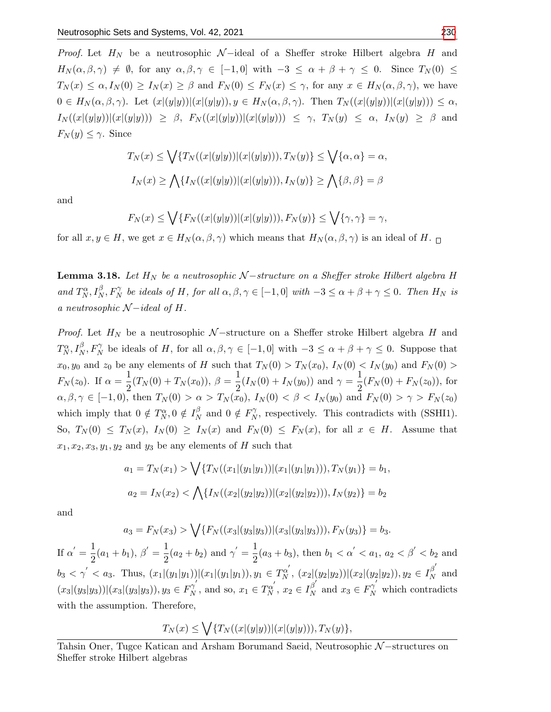*Proof.* Let  $H_N$  be a neutrosophic  $\mathcal{N}-$ ideal of a Sheffer stroke Hilbert algebra H and  $H_N(\alpha, \beta, \gamma) \neq \emptyset$ , for any  $\alpha, \beta, \gamma \in [-1, 0]$  with  $-3 \leq \alpha + \beta + \gamma \leq 0$ . Since  $T_N(0) \leq$  $T_N(x) \leq \alpha, I_N(0) \geq I_N(x) \geq \beta$  and  $F_N(0) \leq F_N(x) \leq \gamma$ , for any  $x \in H_N(\alpha, \beta, \gamma)$ , we have  $0 \in H_N(\alpha, \beta, \gamma)$ . Let  $(x|(y|y))|(x|(y|y)), y \in H_N(\alpha, \beta, \gamma)$ . Then  $T_N((x|(y|y))|(x|(y|y))) \leq \alpha$ ,  $I_N((x|(y|y))|(x|(y|y))) \geq \beta$ ,  $F_N((x|(y|y))|(x|(y|y))) \leq \gamma$ ,  $T_N(y) \leq \alpha$ ,  $I_N(y) \geq \beta$  and  $F_N(y) \leq \gamma$ . Since

$$
T_N(x) \le \bigvee \{ T_N((x|(y|y))|(x|(y|y))), T_N(y) \} \le \bigvee \{ \alpha, \alpha \} = \alpha,
$$
  

$$
I_N(x) \ge \bigwedge \{ I_N((x|(y|y))|(x|(y|y))), I_N(y) \} \ge \bigwedge \{ \beta, \beta \} = \beta
$$

and

$$
F_N(x) \le \bigvee \{ F_N((x|(y|y))|(x|(y|y))), F_N(y) \} \le \bigvee \{ \gamma, \gamma \} = \gamma,
$$

for all  $x, y \in H$ , we get  $x \in H_N(\alpha, \beta, \gamma)$  which means that  $H_N(\alpha, \beta, \gamma)$  is an ideal of H.

**Lemma 3.18.** Let  $H_N$  be a neutrosophic  $N$  –structure on a Sheffer stroke Hilbert algebra H and  $T_N^{\alpha}$ ,  $I_N^{\beta}$ ,  $F_N^{\gamma}$  be ideals of H, for all  $\alpha, \beta, \gamma \in [-1, 0]$  with  $-3 \leq \alpha + \beta + \gamma \leq 0$ . Then  $H_N$  is a neutrosophic  $\mathcal{N}-ideal$  of H.

*Proof.* Let  $H_N$  be a neutrosophic  $N$ -structure on a Sheffer stroke Hilbert algebra H and  $T_N^{\alpha}, I_N^{\beta}, F_N^{\gamma}$  be ideals of H, for all  $\alpha, \beta, \gamma \in [-1,0]$  with  $-3 \leq \alpha + \beta + \gamma \leq 0$ . Suppose that  $x_0, y_0$  and  $z_0$  be any elements of H such that  $T_N(0) > T_N(x_0)$ ,  $I_N(0) < I_N(y_0)$  and  $F_N(0) >$  $F_N(z_0)$ . If  $\alpha = \frac{1}{2}$  $\frac{1}{2}(T_N(0) + T_N(x_0)), \ \beta = \frac{1}{2}$  $\frac{1}{2}(I_N(0) + I_N(y_0))$  and  $\gamma = \frac{1}{2}$  $\frac{1}{2}(F_N(0) + F_N(z_0)),$  for  $\alpha, \beta, \gamma \in [-1, 0)$ , then  $T_N(0) > \alpha > T_N(x_0)$ ,  $I_N(0) < \beta < I_N(y_0)$  and  $F_N(0) > \gamma > F_N(z_0)$ which imply that  $0 \notin T_N^{\alpha}, 0 \notin I_N^{\beta}$  $\frac{\beta}{N}$  and  $0 \notin F_N^{\gamma}$  $N_N^{\gamma}$ , respectively. This contradicts with (SSHI1). So,  $T_N(0) \leq T_N(x)$ ,  $I_N(0) \geq I_N(x)$  and  $F_N(0) \leq F_N(x)$ , for all  $x \in H$ . Assume that  $x_1, x_2, x_3, y_1, y_2$  and  $y_3$  be any elements of H such that

$$
a_1 = T_N(x_1) > \sqrt{\{T_N((x_1|(y_1|y_1))|(x_1|(y_1|y_1))), T_N(y_1)\}} = b_1,
$$
  

$$
a_2 = I_N(x_2) < \sqrt{\{I_N((x_2|(y_2|y_2))|(x_2|(y_2|y_2))\}}, I_N(y_2)\} = b_2
$$

and

$$
a_3 = F_N(x_3) > \bigvee \{ F_N((x_3|(y_3|y_3))|(x_3|(y_3|y_3))), F_N(y_3) \} = b_3.
$$

If  $\alpha' = \frac{1}{2}$  $\frac{1}{2}(a_1+b_1), \beta'=\frac{1}{2}$  $\frac{1}{2}(a_2 + b_2)$  and  $\gamma' = \frac{1}{2}$  $\frac{1}{2}(a_3+b_3)$ , then  $b_1 < \alpha' < a_1, a_2 < \beta' < b_2$  and  $b_3 < \gamma' < a_3$ . Thus,  $(x_1|(y_1|y_1))|(x_1|(y_1|y_1)), y_1 \in T_N^{\alpha'}$ ,  $(x_2|(y_2|y_2))|(x_2|(y_2|y_2)), y_2 \in I_N^{\beta'}$  $N^{\rho}$  and  $(x_3|(y_3|y_3))|(x_3|(y_3|y_3)), y_3 \in F_N^{\gamma'}$  $y_N^{'},$  and so,  $x_1 \in T_N^{\alpha'}, x_2 \in I_N^{\beta'}$  $\beta'_{N}$  and  $x_3 \in F_N^{\gamma'}$  which contradicts with the assumption. Therefore,

$$
T_N(x) \le \bigvee \{ T_N((x|(y|y))|(x|(y|y))), T_N(y) \},\,
$$

Tahsin Oner, Tugce Katican and Arsham Borumand Saeid, Neutrosophic N–structures on Sheffer stroke Hilbert algebras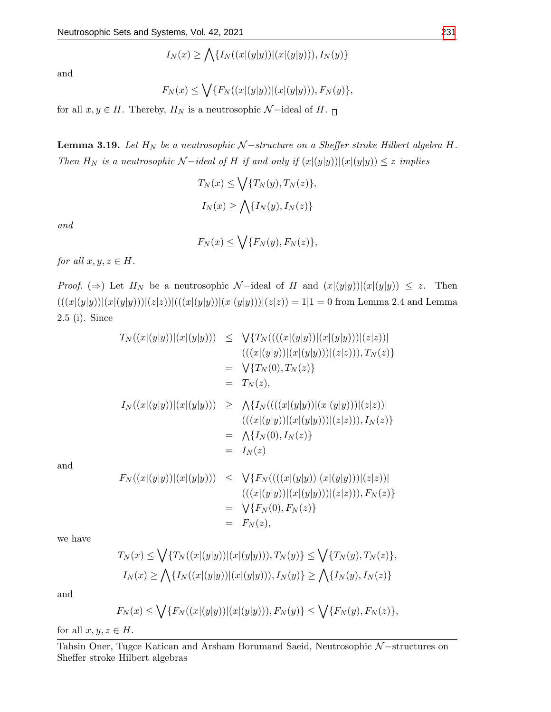$$
I_N(x) \ge \bigwedge \{ I_N((x|(y|y))|(x|(y|y))), I_N(y) \}
$$

and

$$
F_N(x) \le \bigvee \{ F_N((x|(y|y))|(x|(y|y))), F_N(y) \},\
$$

for all  $x, y \in H$ . Thereby,  $H_N$  is a neutrosophic  $\mathcal{N}-$ ideal of  $H$ .  $\Box$ 

**Lemma 3.19.** Let  $H_N$  be a neutrosophic  $N$  –structure on a Sheffer stroke Hilbert algebra H. Then  $H_N$  is a neutrosophic  $N$  −ideal of H if and only if  $(x|(y|y))|(x|(y|y)) \leq z$  implies

$$
T_N(x) \le \bigvee \{T_N(y), T_N(z)\},
$$
  

$$
I_N(x) \ge \bigwedge \{I_N(y), I_N(z)\}
$$

and

 $F_N(x) \leq \bigvee \{F_N(y), F_N(z)\},$ 

for all  $x, y, z \in H$ .

*Proof.* ( $\Rightarrow$ ) Let  $H_N$  be a neutrosophic N-ideal of H and  $(x|(y|y))|(x|(y|y)) \leq z$ . Then  $(((x|(y|y))|(x|(y|y)))(z|z))|(((x|(y|y))|(x|(y|y)))(z|z)) = 1|1 = 0$  from Lemma 2.4 and Lemma 2.5 (i). Since

$$
T_N((x|(y|y))|(x|(y|y))) \leq \sqrt{\{T_N(((x|(y|y)))(x|(y|y)))(z|z))\}}\n= \sqrt{\{T_N(0), T_N(z)\}}\n= T_N(z),\nI_N((x|(y|y))|(x|(y|y))) \geq \Lambda\{I_N(((x|(y|y)))(x|(y|y)))(z|z))\}\n= \Lambda\{I_N(0), I_N(z)\}\n= \Lambda\{I_N(0), I_N(z)\}\n= I_N(z)\nF_N((x|(y|y))|(x|(y|y))) \leq \sqrt{\{F_N(((x|(y|y)))(x|(y|y)))(z|z))\}}\n= I_N(z)\nF_N((x|(y|y))|(x|(y|y))) \leq \sqrt{\{F_N(((x|(y|y)))(x|(y|y)))(z|z))\}}\n= \sqrt{\{F_N(0), F_N(z)\}}
$$

and

we have

$$
T_N(x) \le \bigvee \{ T_N((x|(y|y))|(x|(y|y))), T_N(y) \} \le \bigvee \{ T_N(y), T_N(z) \},
$$
  

$$
I_N(x) \ge \bigwedge \{ I_N((x|(y|y))|(x|(y|y))), I_N(y) \} \ge \bigwedge \{ I_N(y), I_N(z) \}
$$

 $= F<sub>N</sub>(z),$ 

and

$$
F_N(x) \le \bigvee \{ F_N((x|(y|y))|(x|(y|y))), F_N(y) \} \le \bigvee \{ F_N(y), F_N(z) \},
$$

for all  $x, y, z \in H$ .

Tahsin Oner, Tugce Katican and Arsham Borumand Saeid, Neutrosophic N-structures on Sheffer stroke Hilbert algebras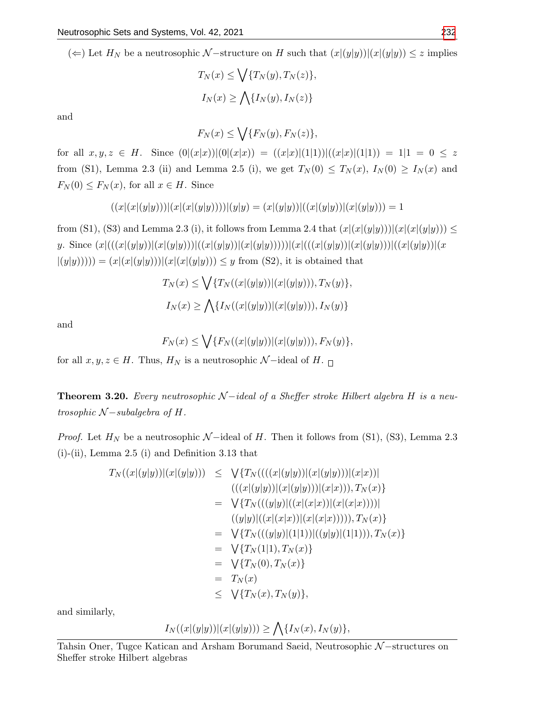(←) Let  $H_N$  be a neutrosophic N-structure on H such that  $(x|(y|y))|(x|(y|y)) \leq z$  implies

$$
T_N(x) \le \bigvee \{T_N(y), T_N(z)\},
$$
  

$$
I_N(x) \ge \bigwedge \{I_N(y), I_N(z)\}
$$

and

$$
F_N(x) \le \bigvee \{F_N(y), F_N(z)\},
$$

for all  $x, y, z \in H$ . Since  $(0|(x|x))|(0|(x|x)) = ((x|x)|(1|1))|((x|x)|(1|1)) = 1|1 = 0 \leq z$ from (S1), Lemma 2.3 (ii) and Lemma 2.5 (i), we get  $T_N(0) \leq T_N(x)$ ,  $I_N(0) \geq I_N(x)$  and  $F_N(0) \leq F_N(x)$ , for all  $x \in H$ . Since

$$
((x|(x|(y|y)))|(x|(x|(y|y))))|(y|y) = (x|(y|y))|((x|(y|y))|(x|(y|y))) = 1
$$

from (S1), (S3) and Lemma 2.3 (i), it follows from Lemma 2.4 that  $(x|(x|(y|y)))(x|(x|(y|y))) \le$ y. Since  $(x|(((x|(y|y))|(x|(y|y)))((x|(y|y))|(x|(y|y))))|(x|(((x|(y|y))||x|((y|y))||((x|(y|y))||(x|y))||((x|y|y))||((x|y|y))||((x|y|y))||((x|y|y))||((x|y|y))||((x|y|y))||((x|y|y))||((x|y|y))||((x|y|y))||((x|y|y))||((x|y|y))||((x|y|y))||((x|y|y))||((x|y|y))||((x|y|y))||((x|y|y))||((x|y|y))||((x|y|y))||((x|y$  $|(y|y))$ ))) =  $(x|(x|(y|y)))|(x|(x|(y|y))) \leq y$  from (S2), it is obtained that

$$
T_N(x) \le \bigvee \{ T_N((x|(y|y))|(x|(y|y))), T_N(y) \},
$$
  

$$
I_N(x) \ge \bigwedge \{ I_N((x|(y|y))|(x|(y|y))), I_N(y) \}
$$

and

$$
F_N(x) \le \bigvee \{ F_N((x|(y|y))|(x|(y|y))), F_N(y) \},\
$$

for all  $x, y, z \in H$ . Thus,  $H_N$  is a neutrosophic  $\mathcal{N}-$ ideal of  $H_{\text{eq}}$ .

**Theorem 3.20.** Every neutrosophic  $N$  −ideal of a Sheffer stroke Hilbert algebra H is a neutrosophic  $N$  – subalgebra of H.

*Proof.* Let  $H_N$  be a neutrosophic  $\mathcal{N}-$ ideal of H. Then it follows from (S1), (S3), Lemma 2.3 (i)-(ii), Lemma 2.5 (i) and Definition 3.13 that

$$
T_N((x|(y|y))|(x|(y|y))) \leq \sqrt{\{T_N(((x|(y|y))|(x|(y|y)))(x|x))\}}\n= \sqrt{\{T_N(((y|y))|(x|(y|y)))(x|x))\}}, T_N(x)\}\n= \sqrt{\{T_N(((y|y)|((x|(x|x))|(x|(x|x))))}, T_N(x)\}\n= \sqrt{\{T_N(((y|y)|(1|1)))((y|y)|(1|1))\}}, T_N(x)\}\n= \sqrt{\{T_N(1|1)}, T_N(x)\}\n= \sqrt{\{T_N(0)}, T_N(x)\}\n= T_N(x)\n\leq \sqrt{\{T_N(x)}, T_N(y)\},
$$

and similarly,

$$
I_N((x|(y|y))|(x|(y|y))) \ge \bigwedge \{I_N(x), I_N(y)\},\
$$

Tahsin Oner, Tugce Katican and Arsham Borumand Saeid, Neutrosophic N-structures on Sheffer stroke Hilbert algebras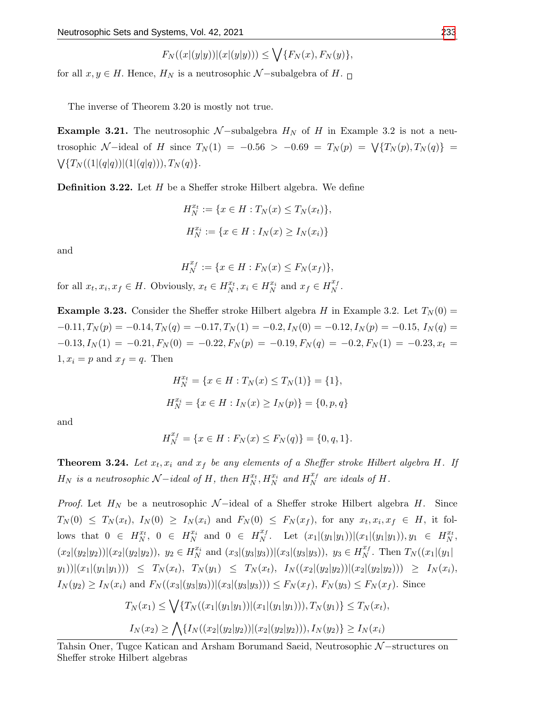$$
F_N((x|(y|y))|(x|(y|y))) \le \bigvee \{F_N(x), F_N(y)\},
$$

for all  $x, y \in H$ . Hence,  $H_N$  is a neutrosophic  $\mathcal{N}-$ subalgebra of  $H_{\text{eq}}$ .

The inverse of Theorem 3.20 is mostly not true.

**Example 3.21.** The neutrosophic  $N$ -subalgebra  $H_N$  of H in Example 3.2 is not a neutrosophic N-ideal of H since  $T_N(1) = -0.56 > -0.69 = T_N(p) = \sqrt{\{T_N(p), T_N(q)}\} =$  $\bigvee \{T_{N}((1|(q|q))|(1|(q|q))), T_{N}(q)\}.$ 

**Definition 3.22.** Let  $H$  be a Sheffer stroke Hilbert algebra. We define

$$
H_N^{x_t} := \{ x \in H : T_N(x) \le T_N(x_t) \},
$$
  

$$
H_N^{x_i} := \{ x \in H : I_N(x) \ge I_N(x_i) \}
$$

and

$$
H_N^{x_f} := \{ x \in H : F_N(x) \le F_N(x_f) \},
$$

for all  $x_t, x_i, x_f \in H$ . Obviously,  $x_t \in H_N^{x_t}, x_i \in H_N^{x_i}$  and  $x_f \in H_N^{x_f}$  $\frac{x_f}{N}$ .

**Example 3.23.** Consider the Sheffer stroke Hilbert algebra H in Example 3.2. Let  $T_N(0)$  =  $-0.11, T_N(p) = -0.14, T_N(q) = -0.17, T_N(1) = -0.2, I_N(0) = -0.12, I_N(p) = -0.15, I_N(q) =$  $-0.13, I_N(1) = -0.21, F_N(0) = -0.22, F_N(p) = -0.19, F_N(q) = -0.2, F_N(1) = -0.23, x_t = 0.015$  $1, x_i = p$  and  $x_f = q$ . Then

$$
H_N^{x_t} = \{ x \in H : T_N(x) \le T_N(1) \} = \{ 1 \},
$$
  

$$
H_N^{x_i} = \{ x \in H : I_N(x) \ge I_N(p) \} = \{ 0, p, q \}
$$

and

$$
H_N^{x_f} = \{ x \in H : F_N(x) \le F_N(q) \} = \{ 0, q, 1 \}.
$$

**Theorem 3.24.** Let  $x_t$ ,  $x_i$  and  $x_f$  be any elements of a Sheffer stroke Hilbert algebra H. If  $H_N$  is a neutrosophic  $\mathcal{N}-\textit{ideal}$  of  $H,$  then  $H_N^{x_t}, H_N^{x_i}$  and  $H_N^{x_f}$  $\frac{x_f}{N}$  are ideals of H.

*Proof.* Let  $H_N$  be a neutrosophic  $\mathcal{N}-$ ideal of a Sheffer stroke Hilbert algebra H. Since  $T_N(0) \leq T_N(x_t),\ I_N(0) \geq I_N(x_i)$  and  $F_N(0) \leq F_N(x_f),$  for any  $x_t, x_i, x_f \in H$ , it follows that  $0 \in H_N^{x_t}$ ,  $0 \in H_N^{x_i}$  and  $0 \in H_N^{x_f}$  $X_N^{x_f}$ . Let  $(x_1|(y_1|y_1))|(x_1|(y_1|y_1)), y_1 \in H_N^{x_t}$ ,  $(x_2|(y_2|y_2))|(x_2|(y_2|y_2)), y_2 \in H_N^{x_i}$  and  $(x_3|(y_3|y_3))|(x_3|(y_3|y_3)), y_3 \in H_N^{x_f}$  $\prod_{N}^{x}$ . Then  $T_N((x_1|(y_1))$  $(y_1))|(x_1|(y_1|y_1))\geq T_N(x_t), T_N(y_1) \leq T_N(x_t), T_N((x_2|(y_2|y_2))|(x_2|(y_2|y_2))) \geq T_N(x_t),$  $I_N(y_2) \ge I_N(x_i)$  and  $F_N((x_3|(y_3|y_3))|(x_3|(y_3|y_3))) \le F_N(x_f)$ ,  $F_N(y_3) \le F_N(x_f)$ . Since

$$
T_N(x_1) \le \bigvee \{ T_N((x_1|(y_1|y_1))|(x_1|(y_1|y_1))), T_N(y_1) \} \le T_N(x_t),
$$
  

$$
I_N(x_2) \ge \bigwedge \{ I_N((x_2|(y_2|y_2))|(x_2|(y_2|y_2))), I_N(y_2) \} \ge I_N(x_i)
$$

Tahsin Oner, Tugce Katican and Arsham Borumand Saeid, Neutrosophic N–structures on Sheffer stroke Hilbert algebras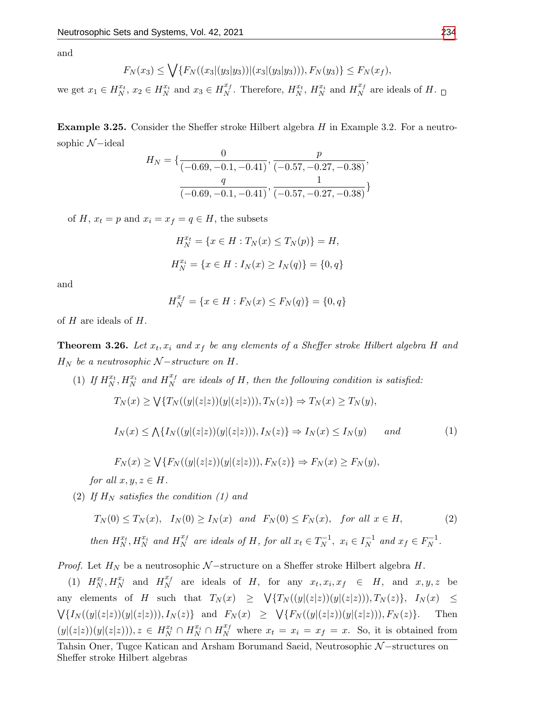and

$$
F_N(x_3) \le \bigvee \{ F_N((x_3|(y_3|y_3))|(x_3|(y_3|y_3))), F_N(y_3) \} \le F_N(x_f),
$$

we get  $x_1 \in H_N^{x_t}$ ,  $x_2 \in H_N^{x_i}$  and  $x_3 \in H_N^{x_f}$  $X_N^{x_f}$ . Therefore,  $H_N^{x_t}$ ,  $H_N^{x_i}$  and  $H_N^{x_f}$  $N^x$  are ideals of H.

**Example 3.25.** Consider the Sheffer stroke Hilbert algebra  $H$  in Example 3.2. For a neutrosophic  $\mathcal{N}-\text{ideal}$ 

$$
H_N = \{ \frac{0}{(-0.69, -0.1, -0.41)}, \frac{p}{(-0.57, -0.27, -0.38)}, \frac{q}{(-0.69, -0.1, -0.41)}, \frac{1}{(-0.57, -0.27, -0.38)} \}
$$

of H,  $x_t = p$  and  $x_i = x_f = q \in H$ , the subsets

$$
H_N^{x_t} = \{ x \in H : T_N(x) \le T_N(p) \} = H,
$$
  

$$
H_N^{x_i} = \{ x \in H : I_N(x) \ge I_N(q) \} = \{ 0, q \}
$$

and

$$
H_N^{x_f} = \{ x \in H : F_N(x) \le F_N(q) \} = \{ 0, q \}
$$

of  $H$  are ideals of  $H$ .

**Theorem 3.26.** Let  $x_t$ ,  $x_i$  and  $x_f$  be any elements of a Sheffer stroke Hilbert algebra H and  $H_N$  be a neutrosophic  $\mathcal{N}-structure$  on  $H$ .

(1) If  $H_N^{x_t}, H_N^{x_i}$  and  $H_N^{x_f}$  $N<sup>x<sub>f</sub></sup>$  are ideals of H, then the following condition is satisfied:

$$
T_N(x) \ge \bigvee \{T_N((y|(z|z))(y|(z|z))), T_N(z)\} \Rightarrow T_N(x) \ge T_N(y),
$$

$$
I_N(x) \le \bigwedge \{ I_N((y|(z|z))(y|(z|z))), I_N(z) \} \Rightarrow I_N(x) \le I_N(y) \qquad \text{and} \tag{1}
$$

$$
F_N(x) \ge \bigvee \{ F_N((y|(z|z))(y|(z|z))), F_N(z) \} \Rightarrow F_N(x) \ge F_N(y),
$$

for all  $x, y, z \in H$ .

(2) If  $H_N$  satisfies the condition (1) and

$$
T_N(0) \le T_N(x), \quad I_N(0) \ge I_N(x) \quad and \quad F_N(0) \le F_N(x), \quad for \ all \ x \in H,
$$
  
then  $H_N^{x_t}, H_N^{x_i}$  and  $H_N^{x_f}$  are ideals of H, for all  $x_t \in T_N^{-1}$ ,  $x_i \in I_N^{-1}$  and  $x_f \in F_N^{-1}$ .  
(2)

*Proof.* Let  $H_N$  be a neutrosophic  $N$  –structure on a Sheffer stroke Hilbert algebra  $H$ .

(1)  $H_N^{x_t}, H_N^{x_i}$  and  $H_N^{x_f}$  $X_t^{x_f}$  are ideals of H, for any  $x_t, x_i, x_f \in H$ , and  $x, y, z$  be any elements of H such that  $T_N(x) \geq \sqrt{\{T_N((y|(z|z))(y|(z|z))\}, T_N(z)\}, I_N(x) \leq$  $\bigvee \{I_N((y|(z|z))(y|(z|z))), I_N(z)\}$  and  $F_N(x) \geq \bigvee \{F_N((y|(z|z))(y|(z|z))), F_N(z)\}.$  Then  $(y|(z|z))(y|(z|z))), z \in H_N^{x_t} \cap H_N^{x_i} \cap H_N^{x_f}$  where  $x_t = x_i = x_f = x$ . So, it is obtained from

Tahsin Oner, Tugce Katican and Arsham Borumand Saeid, Neutrosophic N–structures on Sheffer stroke Hilbert algebras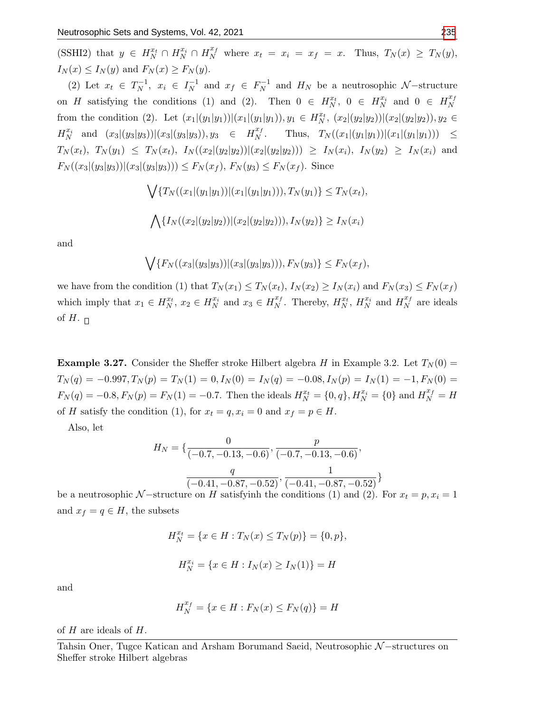(SSHI2) that  $y \in H_N^{x_t} \cap H_N^{x_i} \cap H_N^{x_f}$  where  $x_t = x_i = x_f = x$ . Thus,  $T_N(x) \geq T_N(y)$ ,  $I_N(x) \leq I_N(y)$  and  $F_N(x) \geq F_N(y)$ .

(2) Let  $x_t \in T_N^{-1}$  $x_i^{-1}, x_i \in I_N^{-1}$  $\overline{N}$ <sup>1</sup> and  $x_f \in F_N^{-1}$  $N^{-1}$  and  $H_N$  be a neutrosophic  $\mathcal{N}-$ structure on H satisfying the conditions (1) and (2). Then  $0 \in H_N^{x_t}$ ,  $0 \in H_N^{x_i}$  and  $0 \in H_N^{x_f}$ N from the condition (2). Let  $(x_1|(y_1|y_1))|(x_1|(y_1|y_1)), y_1 \in H_N^{x_t}$ ,  $(x_2|(y_2|y_2))|(x_2|(y_2|y_2)), y_2 \in$  $H_N^{x_i}$  and  $(x_3|(y_3|y_3))|(x_3|(y_3|y_3)), y_3 \in H_N^{x_i}$  $N^x$ . Thus,  $T_N((x_1|(y_1|y_1))|(x_1|(y_1|y_1))) \leq$  $T_N(x_t)$ ,  $T_N(y_1) \leq T_N(x_t)$ ,  $I_N((x_2|(y_2|y_2))|(x_2|(y_2|y_2))) \geq I_N(x_i)$ ,  $I_N(y_2) \geq I_N(x_i)$  and  $F_N((x_3|(y_3|y_3))|(x_3|(y_3|y_3))) \leq F_N(x_f), F_N(y_3) \leq F_N(x_f).$  Since

$$
\bigvee \{T_N((x_1|(y_1|y_1))|(x_1|(y_1|y_1))), T_N(y_1)\} \le T_N(x_t),
$$
  

$$
\bigwedge \{I_N((x_2|(y_2|y_2))|(x_2|(y_2|y_2))), I_N(y_2)\} \ge I_N(x_i)
$$

and

$$
\bigvee \{F_N((x_3|(y_3|y_3))|(x_3|(y_3|y_3))), F_N(y_3)\} \le F_N(x_f),
$$

we have from the condition (1) that  $T_N(x_1) \leq T_N(x_t)$ ,  $I_N(x_2) \geq I_N(x_t)$  and  $F_N(x_3) \leq F_N(x_t)$ which imply that  $x_1 \in H_N^{x_t}$ ,  $x_2 \in H_N^{x_i}$  and  $x_3 \in H_N^{x_f}$  $X_N^{x_f}$ . Thereby,  $H_N^{x_t}$ ,  $H_N^{x_i}$  and  $H_N^{x_f}$  $N<sub>N</sub>$  are ideals of H.  $\Box$ 

**Example 3.27.** Consider the Sheffer stroke Hilbert algebra H in Example 3.2. Let  $T_N(0)$  =  $T_N(q) = -0.997, T_N(p) = T_N(1) = 0, I_N(0) = I_N(q) = -0.08, I_N(p) = I_N(1) = -1, F_N(0) =$  $F_N(q) = -0.8, F_N(p) = F_N(1) = -0.7.$  Then the ideals  $H_N^{x_t} = \{0, q\}, H_N^{x_i} = \{0\}$  and  $H_N^{x_f} = H_N(q)$ of H satisfy the condition (1), for  $x_t = q, x_i = 0$  and  $x_f = p \in H$ .

Also, let

$$
H_N = \{ \frac{0}{(-0.7, -0.13, -0.6)}, \frac{p}{(-0.7, -0.13, -0.6)}, \frac{q}{(-0.41, -0.87, -0.52)}, \frac{1}{(-0.41, -0.87, -0.52)} \}
$$

be a neutrosophic N-structure on H satisfyinh the conditions (1) and (2). For  $x_t = p, x_i = 1$ and  $x_f = q \in H$ , the subsets

$$
H_N^{x_t} = \{ x \in H : T_N(x) \le T_N(p) \} = \{ 0, p \},
$$

$$
H_N^{x_i} = \{ x \in H : I_N(x) \ge I_N(1) \} = H
$$

and

$$
H_N^{x_f} = \{ x \in H : F_N(x) \le F_N(q) \} = H
$$

of  $H$  are ideals of  $H$ .

Tahsin Oner, Tugce Katican and Arsham Borumand Saeid, Neutrosophic N−structures on Sheffer stroke Hilbert algebras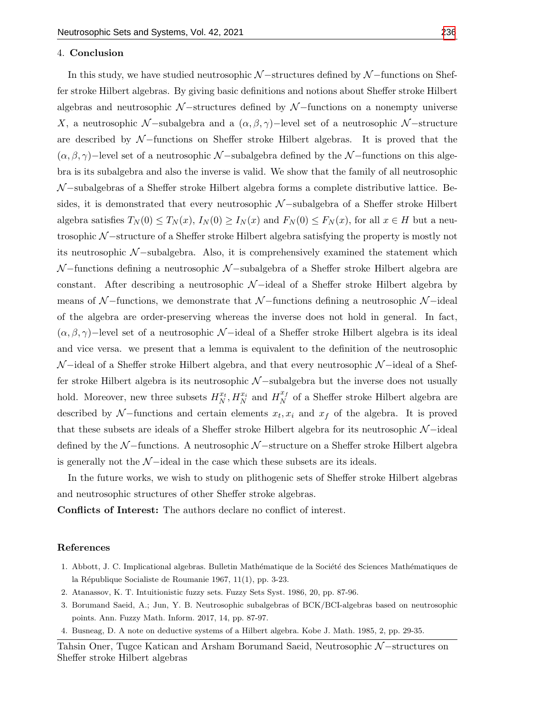### 4. Conclusion

In this study, we have studied neutrosophic  $\mathcal{N}-$ structures defined by  $\mathcal{N}-$ functions on Sheffer stroke Hilbert algebras. By giving basic definitions and notions about Sheffer stroke Hilbert algebras and neutrosophic  $N$  –structures defined by  $N$  –functions on a nonempty universe X, a neutrosophic N-subalgebra and a  $(\alpha, \beta, \gamma)$ -level set of a neutrosophic N-structure are described by  $N$ -functions on Sheffer stroke Hilbert algebras. It is proved that the  $(\alpha, \beta, \gamma)$ −level set of a neutrosophic N-subalgebra defined by the N-functions on this algebra is its subalgebra and also the inverse is valid. We show that the family of all neutrosophic  $\mathcal{N}-$ subalgebras of a Sheffer stroke Hilbert algebra forms a complete distributive lattice. Besides, it is demonstrated that every neutrosophic  $N$ -subalgebra of a Sheffer stroke Hilbert algebra satisfies  $T_N(0) \leq T_N(x)$ ,  $I_N(0) \geq I_N(x)$  and  $F_N(0) \leq F_N(x)$ , for all  $x \in H$  but a neutrosophic N −structure of a Sheffer stroke Hilbert algebra satisfying the property is mostly not its neutrosophic  $\mathcal{N}-subalgebra$ . Also, it is comprehensively examined the statement which  $\mathcal{N}-$ functions defining a neutrosophic  $\mathcal{N}-$ subalgebra of a Sheffer stroke Hilbert algebra are constant. After describing a neutrosophic  $\mathcal{N}-$ ideal of a Sheffer stroke Hilbert algebra by means of  $\mathcal{N}-$ functions, we demonstrate that  $\mathcal{N}-$ functions defining a neutrosophic  $\mathcal{N}-$ ideal of the algebra are order-preserving whereas the inverse does not hold in general. In fact,  $(\alpha, \beta, \gamma)$ −level set of a neutrosophic N-ideal of a Sheffer stroke Hilbert algebra is its ideal and vice versa. we present that a lemma is equivalent to the definition of the neutrosophic  $\mathcal{N}-$ ideal of a Sheffer stroke Hilbert algebra, and that every neutrosophic  $\mathcal{N}-$ ideal of a Sheffer stroke Hilbert algebra is its neutrosophic  $\mathcal{N}-$ subalgebra but the inverse does not usually hold. Moreover, new three subsets  $H_N^{x_t}, H_N^{x_i}$  and  $H_N^{x_f}$  $\frac{x_f}{N}$  of a Sheffer stroke Hilbert algebra are described by  $N$ -functions and certain elements  $x_t, x_i$  and  $x_f$  of the algebra. It is proved that these subsets are ideals of a Sheffer stroke Hilbert algebra for its neutrosophic  $\mathcal{N}-\text{ideal}$ defined by the  $N$  –functions. A neutrosophic  $N$  –structure on a Sheffer stroke Hilbert algebra is generally not the  $\mathcal{N}-$ ideal in the case which these subsets are its ideals.

In the future works, we wish to study on plithogenic sets of Sheffer stroke Hilbert algebras and neutrosophic structures of other Sheffer stroke algebras.

Conflicts of Interest: The authors declare no conflict of interest.

#### References

- <span id="page-15-0"></span>1. Abbott, J. C. Implicational algebras. Bulletin Mathématique de la Société des Sciences Mathématiques de la République Socialiste de Roumanie 1967, 11(1), pp. 3-23.
- <span id="page-15-2"></span>2. Atanassov, K. T. Intuitionistic fuzzy sets. Fuzzy Sets Syst. 1986, 20, pp. 87-96.
- <span id="page-15-3"></span>3. Borumand Saeid, A.; Jun, Y. B. Neutrosophic subalgebras of BCK/BCI-algebras based on neutrosophic points. Ann. Fuzzy Math. Inform. 2017, 14, pp. 87-97.
- <span id="page-15-1"></span>4. Busneag, D. A note on deductive systems of a Hilbert algebra. Kobe J. Math. 1985, 2, pp. 29-35.

Tahsin Oner, Tugce Katican and Arsham Borumand Saeid, Neutrosophic N-structures on Sheffer stroke Hilbert algebras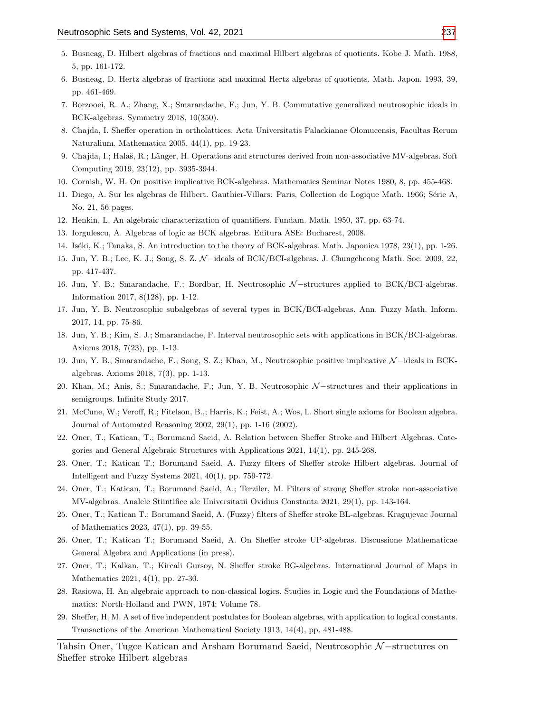- 5. Busneag, D. Hilbert algebras of fractions and maximal Hilbert algebras of quotients. Kobe J. Math. 1988, 5, pp. 161-172.
- <span id="page-16-13"></span>6. Busneag, D. Hertz algebras of fractions and maximal Hertz algebras of quotients. Math. Japon. 1993, 39, pp. 461-469.
- <span id="page-16-17"></span>7. Borzooei, R. A.; Zhang, X.; Smarandache, F.; Jun, Y. B. Commutative generalized neutrosophic ideals in BCK-algebras. Symmetry 2018, 10(350).
- <span id="page-16-2"></span>8. Chajda, I. Sheffer operation in ortholattices. Acta Universitatis Palackianae Olomucensis, Facultas Rerum Naturalium. Mathematica 2005, 44(1), pp. 19-23.
- <span id="page-16-3"></span>9. Chajda, I.; Halaš, R.; Länger, H. Operations and structures derived from non-associative MV-algebras. Soft Computing 2019, 23(12), pp. 3935-3944.
- <span id="page-16-10"></span>10. Cornish, W. H. On positive implicative BCK-algebras. Mathematics Seminar Notes 1980, 8, pp. 455-468.
- <span id="page-16-14"></span>11. Diego, A. Sur les algebras de Hilbert. Gauthier-Villars: Paris, Collection de Logique Math. 1966; Série A, No. 21, 56 pages.
- <span id="page-16-8"></span>12. Henkin, L. An algebraic characterization of quantifiers. Fundam. Math. 1950, 37, pp. 63-74.
- <span id="page-16-11"></span>13. Iorgulescu, A. Algebras of logic as BCK algebras. Editura ASE: Bucharest, 2008.
- <span id="page-16-12"></span>14. Iséki, K.; Tanaka, S. An introduction to the theory of BCK-algebras. Math. Japonica 1978, 23(1), pp. 1-26.
- <span id="page-16-18"></span>15. Jun, Y. B.; Lee, K. J.; Song, S. Z. N −ideals of BCK/BCI-algebras. J. Chungcheong Math. Soc. 2009, 22, pp. 417-437.
- <span id="page-16-20"></span>16. Jun, Y. B.; Smarandache, F.; Bordbar, H. Neutrosophic N −structures applied to BCK/BCI-algebras. Information 2017, 8(128), pp. 1-12.
- 17. Jun, Y. B. Neutrosophic subalgebras of several types in BCK/BCI-algebras. Ann. Fuzzy Math. Inform. 2017, 14, pp. 75-86.
- 18. Jun, Y. B.; Kim, S. J.; Smarandache, F. Interval neutrosophic sets with applications in BCK/BCI-algebras. Axioms 2018, 7(23), pp. 1-13.
- 19. Jun, Y. B.; Smarandache, F.; Song, S. Z.; Khan, M., Neutrosophic positive implicative N −ideals in BCKalgebras. Axioms 2018, 7(3), pp. 1-13.
- <span id="page-16-19"></span>20. Khan, M.; Anis, S.; Smarandache, F.; Jun, Y. B. Neutrosophic N−structures and their applications in semigroups. Infinite Study 2017.
- <span id="page-16-1"></span>21. McCune, W.; Veroff, R.; Fitelson, B.,; Harris, K.; Feist, A.; Wos, L. Short single axioms for Boolean algebra. Journal of Automated Reasoning 2002, 29(1), pp. 1-16 (2002).
- <span id="page-16-15"></span>22. Oner, T.; Katican, T.; Borumand Saeid, A. Relation between Sheffer Stroke and Hilbert Algebras. Categories and General Algebraic Structures with Applications 2021, 14(1), pp. 245-268.
- <span id="page-16-16"></span>23. Oner, T.; Katican T.; Borumand Saeid, A. Fuzzy filters of Sheffer stroke Hilbert algebras. Journal of Intelligent and Fuzzy Systems 2021, 40(1), pp. 759-772.
- <span id="page-16-4"></span>24. Oner, T.; Katican, T.; Borumand Saeid, A.; Terziler, M. Filters of strong Sheffer stroke non-associative MV-algebras. Analele Stiintifice ale Universitatii Ovidius Constanta 2021, 29(1), pp. 143-164.
- <span id="page-16-5"></span>25. Oner, T.; Katican T.; Borumand Saeid, A. (Fuzzy) filters of Sheffer stroke BL-algebras. Kragujevac Journal of Mathematics 2023, 47(1), pp. 39-55.
- <span id="page-16-6"></span>26. Oner, T.; Katican T.; Borumand Saeid, A. On Sheffer stroke UP-algebras. Discussione Mathematicae General Algebra and Applications (in press).
- <span id="page-16-7"></span>27. Oner, T.; Kalkan, T.; Kircali Gursoy, N. Sheffer stroke BG-algebras. International Journal of Maps in Mathematics 2021, 4(1), pp. 27-30.
- <span id="page-16-9"></span>28. Rasiowa, H. An algebraic approach to non-classical logics. Studies in Logic and the Foundations of Mathematics: North-Holland and PWN, 1974; Volume 78.
- <span id="page-16-0"></span>29. Sheffer, H. M. A set of five independent postulates for Boolean algebras, with application to logical constants. Transactions of the American Mathematical Society 1913, 14(4), pp. 481-488.

Tahsin Oner, Tugce Katican and Arsham Borumand Saeid, Neutrosophic N–structures on Sheffer stroke Hilbert algebras